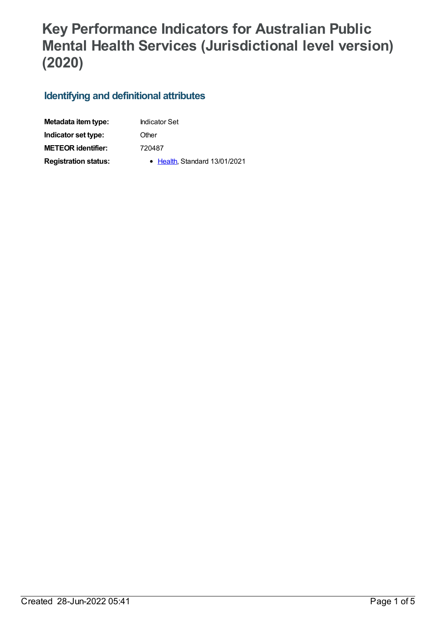## **Key Performance Indicators for Australian Public Mental Health Services (Jurisdictional level version) (2020)**

## **Identifying and definitional attributes**

| Metadata item type:         | <b>Indicator Set</b>          |
|-----------------------------|-------------------------------|
| Indicator set type:         | Other                         |
| <b>METEOR identifier:</b>   | 720487                        |
| <b>Registration status:</b> | • Health, Standard 13/01/2021 |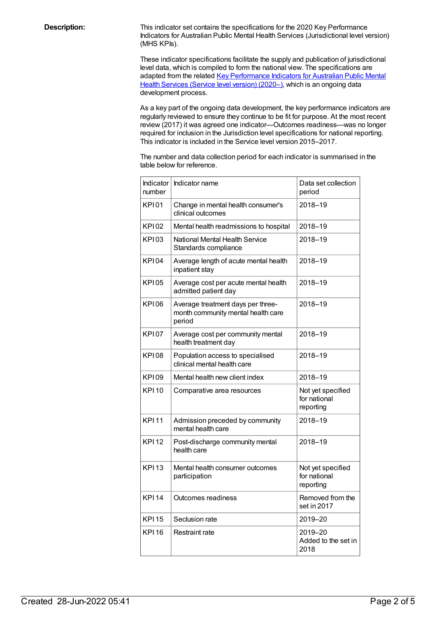**Description:** This indicator set contains the specifications for the 2020 Key Performance Indicators for Australian Public Mental Health Services (Jurisdictional level version) (MHS KPIs).

> These indicator specifications facilitate the supply and publication of jurisdictional level data, which is compiled to form the national view. The specifications are adapted from the related Key [Performance](file:///content/720490) Indicators for Australian Public Mental Health Services (Service level version) (2020–), which is an ongoing data development process.

As a key part of the ongoing data development, the key performance indicators are regularly reviewed to ensure they continue to be fit for purpose. At the most recent review (2017) it was agreed one indicator—Outcomes readiness—was no longer required for inclusion in the Jurisdiction level specifications for national reporting. This indicator is included in the Service level version 2015–2017.

The number and data collection period for each indicator is summarised in the table below for reference.

| Indicator<br>number | Indicator name                                                                    | Data set collection<br>period                  |
|---------------------|-----------------------------------------------------------------------------------|------------------------------------------------|
| <b>KP101</b>        | Change in mental health consumer's<br>clinical outcomes                           | 2018-19                                        |
| KP102               | Mental health readmissions to hospital                                            | 2018-19                                        |
| <b>KP103</b>        | National Mental Health Service<br>Standards compliance                            | 2018-19                                        |
| <b>KPI04</b>        | Average length of acute mental health<br>inpatient stay                           | 2018-19                                        |
| <b>KPI05</b>        | Average cost per acute mental health<br>admitted patient day                      | 2018-19                                        |
| <b>KPI06</b>        | Average treatment days per three-<br>month community mental health care<br>period | 2018-19                                        |
| <b>KPI07</b>        | Average cost per community mental<br>health treatment day                         | 2018-19                                        |
| <b>KPI08</b>        | Population access to specialised<br>clinical mental health care                   | 2018-19                                        |
| KP109               | Mental health new client index                                                    | 2018-19                                        |
| <b>KPI10</b>        | Comparative area resources                                                        | Not yet specified<br>for national<br>reporting |
| <b>KPI11</b>        | Admission preceded by community<br>mental health care                             | 2018-19                                        |
| <b>KPI12</b>        | Post-discharge community mental<br>health care                                    | 2018-19                                        |
| <b>KPI13</b>        | Mental health consumer outcomes<br>participation                                  | Not yet specified<br>for national<br>reporting |
| <b>KPI14</b>        | Outcomes readiness                                                                | Removed from the<br>set in 2017                |
| <b>KPI15</b>        | Seclusion rate                                                                    | 2019-20                                        |
| <b>KPI16</b>        | Restraint rate                                                                    | 2019-20<br>Added to the set in<br>2018         |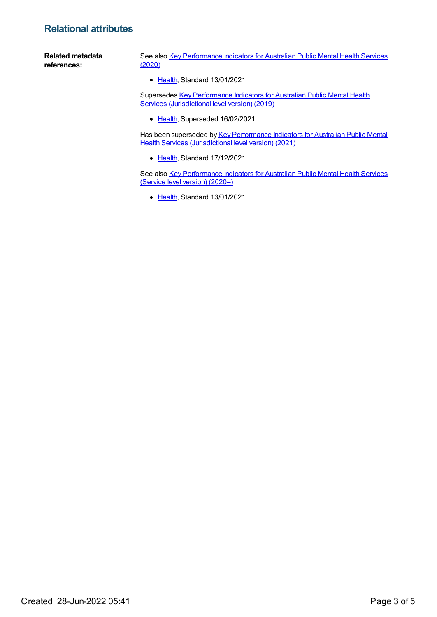## **Relational attributes**

**Related metadata references:** See also Key [Performance](https://meteor.aihw.gov.au/content/720219) Indicators for Australian Public Mental Health Services (2020) • [Health](https://meteor.aihw.gov.au/RegistrationAuthority/12), Standard 13/01/2021

> Supersedes Key [Performance](https://meteor.aihw.gov.au/content/709378) Indicators for Australian Public Mental Health Services (Jurisdictional level version) (2019)

• [Health](https://meteor.aihw.gov.au/RegistrationAuthority/12), Superseded 16/02/2021

Has been superseded by Key [Performance](https://meteor.aihw.gov.au/content/739864) Indicators for Australian Public Mental Health Services (Jurisdictional level version) (2021)

• [Health](https://meteor.aihw.gov.au/RegistrationAuthority/12), Standard 17/12/2021

See also Key [Performance](https://meteor.aihw.gov.au/content/720490) Indicators for Australian Public Mental Health Services (Service level version) (2020–)

• [Health](https://meteor.aihw.gov.au/RegistrationAuthority/12), Standard 13/01/2021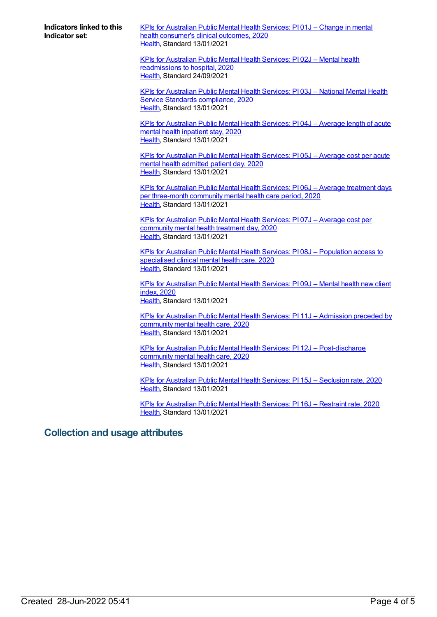**Indicators linked to this Indicator set:**

KPIs for [Australian](https://meteor.aihw.gov.au/content/723377) Public Mental Health Services: PI 01J – Change in mental health consumer's clinical outcomes, 2020 [Health](https://meteor.aihw.gov.au/RegistrationAuthority/12), Standard 13/01/2021

KPIs for Australian Public Mental Health Services: PI 02J – Mental health [readmissions](https://meteor.aihw.gov.au/content/723381) to hospital, 2020 [Health](https://meteor.aihw.gov.au/RegistrationAuthority/12), Standard 24/09/2021

KPIs for [Australian](https://meteor.aihw.gov.au/content/723384) Public Mental Health Services: PI 03J – National Mental Health Service Standards compliance, 2020 [Health](https://meteor.aihw.gov.au/RegistrationAuthority/12), Standard 13/01/2021

KPIs for [Australian](https://meteor.aihw.gov.au/content/723369) Public Mental Health Services: PI 04J – Average length of acute mental health inpatient stay, 2020 [Health](https://meteor.aihw.gov.au/RegistrationAuthority/12), Standard 13/01/2021

KPIs for [Australian](https://meteor.aihw.gov.au/content/720499) Public Mental Health Services: PI 05J – Average cost per acute mental health admitted patient day, 2020 [Health](https://meteor.aihw.gov.au/RegistrationAuthority/12), Standard 13/01/2021

KPIs for Australian Public Mental Health Services: PI 06J – Average treatment days per [three-month](https://meteor.aihw.gov.au/content/723371) community mental health care period, 2020 [Health](https://meteor.aihw.gov.au/RegistrationAuthority/12), Standard 13/01/2021

KPIs for [Australian](https://meteor.aihw.gov.au/content/723367) Public Mental Health Services: PI 07J – Average cost per community mental health treatment day, 2020 [Health](https://meteor.aihw.gov.au/RegistrationAuthority/12), Standard 13/01/2021

KPIs for Australian Public Mental Health Services: PI 08J – [Population](https://meteor.aihw.gov.au/content/723386) access to specialised clinical mental health care, 2020 [Health](https://meteor.aihw.gov.au/RegistrationAuthority/12), Standard 13/01/2021

KPIs for [Australian](https://meteor.aihw.gov.au/content/723379) Public Mental Health Services: PI 09J – Mental health new client index, 2020 [Health](https://meteor.aihw.gov.au/RegistrationAuthority/12), Standard 13/01/2021

KPIs for Australian Public Mental Health Services: PI 11J – [Admission](https://meteor.aihw.gov.au/content/723365) preceded by community mental health care, 2020 [Health](https://meteor.aihw.gov.au/RegistrationAuthority/12), Standard 13/01/2021

KPIs for Australian Public Mental Health Services: PI 12J – [Post-discharge](https://meteor.aihw.gov.au/content/723388) community mental health care, 2020 [Health](https://meteor.aihw.gov.au/RegistrationAuthority/12), Standard 13/01/2021

KPIs for [Australian](https://meteor.aihw.gov.au/content/723392) Public Mental Health Services: PI 15J – Seclusion rate, 2020 [Health](https://meteor.aihw.gov.au/RegistrationAuthority/12), Standard 13/01/2021

KPIs for [Australian](https://meteor.aihw.gov.au/content/723390) Public Mental Health Services: PI 16J – Restraint rate, 2020 [Health](https://meteor.aihw.gov.au/RegistrationAuthority/12), Standard 13/01/2021

## **Collection and usage attributes**